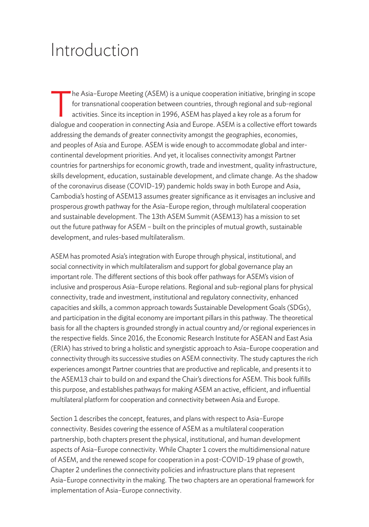## Introduction

The Asia–Europe Meeting (ASEM) is a unique cooperation initiative, bringing in scope<br>for transnational cooperation between countries, through regional and sub-regional<br>activities. Since its inception in 1996, ASEM has play for transnational cooperation between countries, through regional and sub-regional dialogue and cooperation in connecting Asia and Europe. ASEM is a collective effort towards addressing the demands of greater connectivity amongst the geographies, economies, and peoples of Asia and Europe. ASEM is wide enough to accommodate global and intercontinental development priorities. And yet, it localises connectivity amongst Partner countries for partnerships for economic growth, trade and investment, quality infrastructure, skills development, education, sustainable development, and climate change. As the shadow of the coronavirus disease (COVID-19) pandemic holds sway in both Europe and Asia, Cambodia's hosting of ASEM13 assumes greater significance as it envisages an inclusive and prosperous growth pathway for the Asia–Europe region, through multilateral cooperation and sustainable development. The 13th ASEM Summit (ASEM13) has a mission to set out the future pathway for ASEM – built on the principles of mutual growth, sustainable development, and rules-based multilateralism.

ASEM has promoted Asia's integration with Europe through physical, institutional, and social connectivity in which multilateralism and support for global governance play an important role. The different sections of this book offer pathways for ASEM's vision of inclusive and prosperous Asia–Europe relations. Regional and sub-regional plans for physical connectivity, trade and investment, institutional and regulatory connectivity, enhanced capacities and skills, a common approach towards Sustainable Development Goals (SDGs), and participation in the digital economy are important pillars in this pathway. The theoretical basis for all the chapters is grounded strongly in actual country and/or regional experiences in the respective fields. Since 2016, the Economic Research Institute for ASEAN and East Asia (ERIA) has strived to bring a holistic and synergistic approach to Asia–Europe cooperation and connectivity through its successive studies on ASEM connectivity. The study captures the rich experiences amongst Partner countries that are productive and replicable, and presents it to the ASEM13 chair to build on and expand the Chair's directions for ASEM. This book fulfills this purpose, and establishes pathways for making ASEM an active, efficient, and influential multilateral platform for cooperation and connectivity between Asia and Europe.

Section 1 describes the concept, features, and plans with respect to Asia–Europe connectivity. Besides covering the essence of ASEM as a multilateral cooperation partnership, both chapters present the physical, institutional, and human development aspects of Asia–Europe connectivity. While Chapter 1 covers the multidimensional nature of ASEM, and the renewed scope for cooperation in a post-COVID-19 phase of growth, Chapter 2 underlines the connectivity policies and infrastructure plans that represent Asia–Europe connectivity in the making. The two chapters are an operational framework for implementation of Asia–Europe connectivity.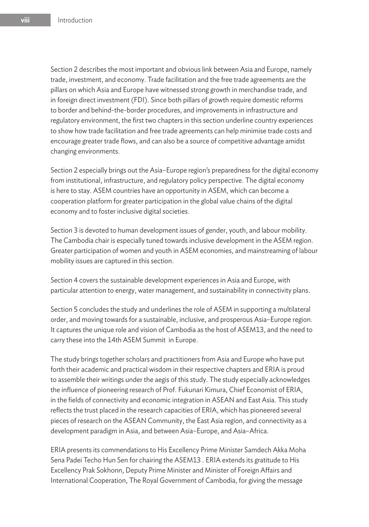Section 2 describes the most important and obvious link between Asia and Europe, namely trade, investment, and economy. Trade facilitation and the free trade agreements are the pillars on which Asia and Europe have witnessed strong growth in merchandise trade, and in foreign direct investment (FDI). Since both pillars of growth require domestic reforms to border and behind-the-border procedures, and improvements in infrastructure and regulatory environment, the first two chapters in this section underline country experiences to show how trade facilitation and free trade agreements can help minimise trade costs and encourage greater trade flows, and can also be a source of competitive advantage amidst changing environments.

Section 2 especially brings out the Asia–Europe region's preparedness for the digital economy from institutional, infrastructure, and regulatory policy perspective. The digital economy is here to stay. ASEM countries have an opportunity in ASEM, which can become a cooperation platform for greater participation in the global value chains of the digital economy and to foster inclusive digital societies.

Section 3 is devoted to human development issues of gender, youth, and labour mobility. The Cambodia chair is especially tuned towards inclusive development in the ASEM region. Greater participation of women and youth in ASEM economies, and mainstreaming of labour mobility issues are captured in this section.

Section 4 covers the sustainable development experiences in Asia and Europe, with particular attention to energy, water management, and sustainability in connectivity plans.

Section 5 concludes the study and underlines the role of ASEM in supporting a multilateral order, and moving towards for a sustainable, inclusive, and prosperous Asia–Europe region. It captures the unique role and vision of Cambodia as the host of ASEM13, and the need to carry these into the 14th ASEM Summit in Europe.

The study brings together scholars and practitioners from Asia and Europe who have put forth their academic and practical wisdom in their respective chapters and ERIA is proud to assemble their writings under the aegis of this study. The study especially acknowledges the influence of pioneering research of Prof. Fukunari Kimura, Chief Economist of ERIA, in the fields of connectivity and economic integration in ASEAN and East Asia. This study reflects the trust placed in the research capacities of ERIA, which has pioneered several pieces of research on the ASEAN Community, the East Asia region, and connectivity as a development paradigm in Asia, and between Asia–Europe, and Asia–Africa.

ERIA presents its commendations to His Excellency Prime Minister Samdech Akka Moha Sena Padei Techo Hun Sen for chairing the ASEM13 . ERIA extends its gratitude to His Excellency Prak Sokhonn, Deputy Prime Minister and Minister of Foreign Affairs and International Cooperation, The Royal Government of Cambodia, for giving the message